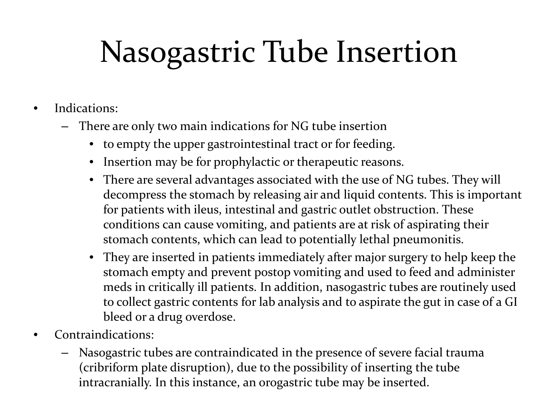- Indications:
	- There are only two main indications for NG tube insertion
		- to empty the upper gastrointestinal tract or for feeding.
		- Insertion may be for prophylactic or therapeutic reasons.
		- There are several advantages associated with the use of NG tubes. They will decompress the stomach by releasing air and liquid contents. This is important for patients with ileus, intestinal and gastric outlet obstruction. These conditions can cause vomiting, and patients are at risk of aspirating their stomach contents, which can lead to potentially lethal pneumonitis.
		- They are inserted in patients immediately after major surgery to help keep the stomach empty and prevent postop vomiting and used to feed and administer meds in critically ill patients. In addition, nasogastric tubes are routinely used to collect gastric contents for lab analysis and to aspirate the gut in case of a GI bleed or a drug overdose.
- Contraindications:
	- Nasogastric tubes are contraindicated in the presence of severe facial trauma (cribriform plate disruption), due to the possibility of inserting the tube intracranially. In this instance, an orogastric tube may be inserted.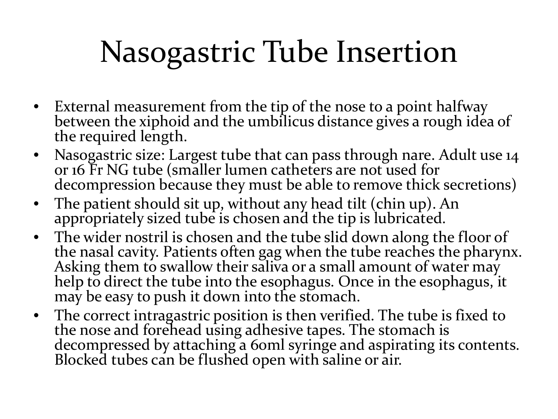- External measurement from the tip of the nose to a point halfway between the xiphoid and the umbilicus distance gives a rough idea of the required length.
- Nasogastric size: Largest tube that can pass through nare. Adult use 14 or 16 Fr NG tube (smaller lumen catheters are not used for decompression because they must be able to remove thick secretions)
- The patient should sit up, without any head tilt (chin up). An appropriately sized tube is chosen and the tip is lubricated.
- The wider nostril is chosen and the tube slid down along the floor of the nasal cavity. Patients often gag when the tube reaches the pharynx. Asking them to swallow their saliva or a small amount of water may help to direct the tube into the esophagus. Once in the esophagus, it may be easy to push it down into the stomach.
- The correct intragastric position is then verified. The tube is fixed to the nose and forehead using adhesive tapes. The stomach is decompressed by attaching a 60ml syringe and aspirating its contents. Blocked tubes can be flushed open with saline or air.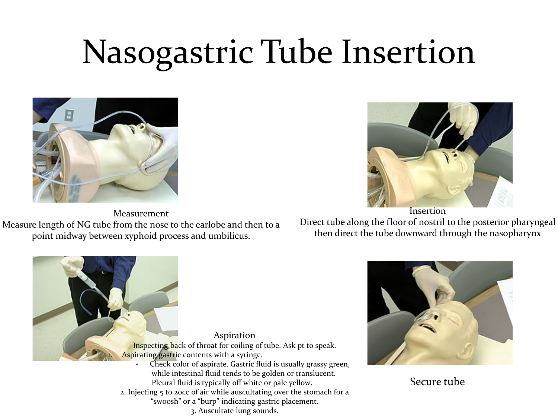

Measurement Measure length of NG tube from the nose to the earlobe and then to a point midway between xyphoid process and umbilicus.



Direct tube along the floor of nostril to the posterior pharyngeal then direct the tube downward through the nasopharynx





Secure tube